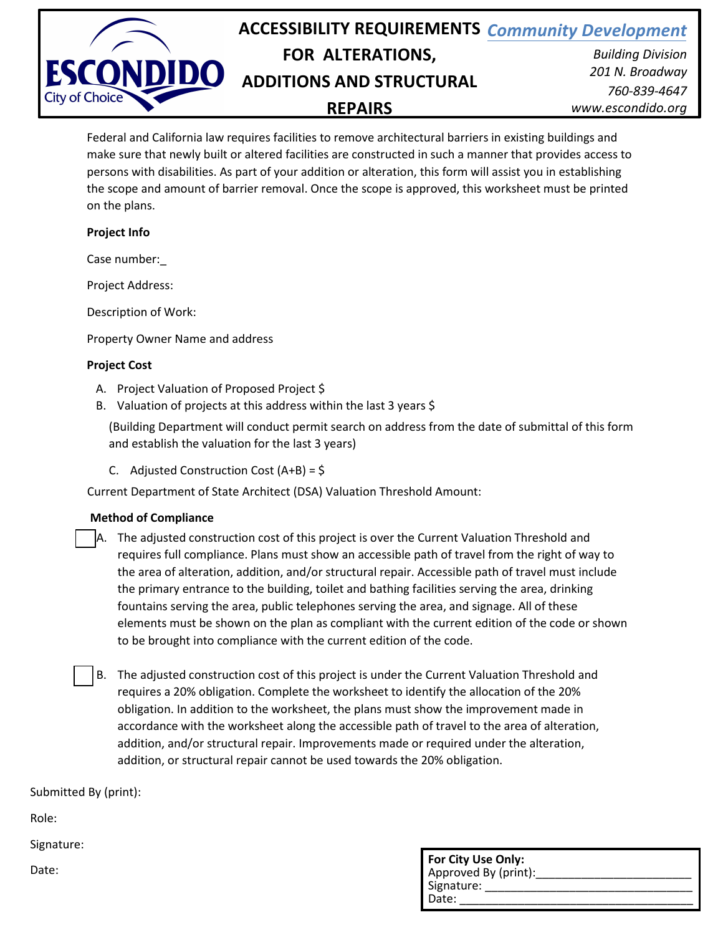

Federal and California law requires facilities to remove architectural barriers in existing buildings and make sure that newly built or altered facilities are constructed in such a manner that provides access to persons with disabilities. As part of your addition or alteration, this form will assist you in establishing the scope and amount of barrier removal. Once the scope is approved, this worksheet must be printed on the plans.

## **Project Info**

Case number:\_

Project Address:

Description of Work:

Property Owner Name and address

## **Project Cost**

- A. Project Valuation of Proposed Project \$
- B. Valuation of projects at this address within the last 3 years \$

(Building Department will conduct permit search on address from the date of submittal of this form and establish the valuation for the last 3 years)

C. Adjusted Construction Cost (A+B) = \$

Current Department of State Architect (DSA) Valuation Threshold Amount:

#### **Method of Compliance**

- A. The adjusted construction cost of this project is over the Current Valuation Threshold and requires full compliance. Plans must show an accessible path of travel from the right of way to the area of alteration, addition, and/or structural repair. Accessible path of travel must include the primary entrance to the building, toilet and bathing facilities serving the area, drinking fountains serving the area, public telephones serving the area, and signage. All of these elements must be shown on the plan as compliant with the current edition of the code or shown to be brought into compliance with the current edition of the code.
- B. The adjusted construction cost of this project is under the Current Valuation Threshold and requires a 20% obligation. Complete the worksheet to identify the allocation of the 20% obligation. In addition to the worksheet, the plans must show the improvement made in accordance with the worksheet along the accessible path of travel to the area of alteration, addition, and/or structural repair. Improvements made or required under the alteration, addition, or structural repair cannot be used towards the 20% obligation.

# Submitted By (print):

Role:

Signature:

Date:

| For City Use Only:<br>Approved By (print): |  |  |
|--------------------------------------------|--|--|
| Signature:                                 |  |  |
| Date:                                      |  |  |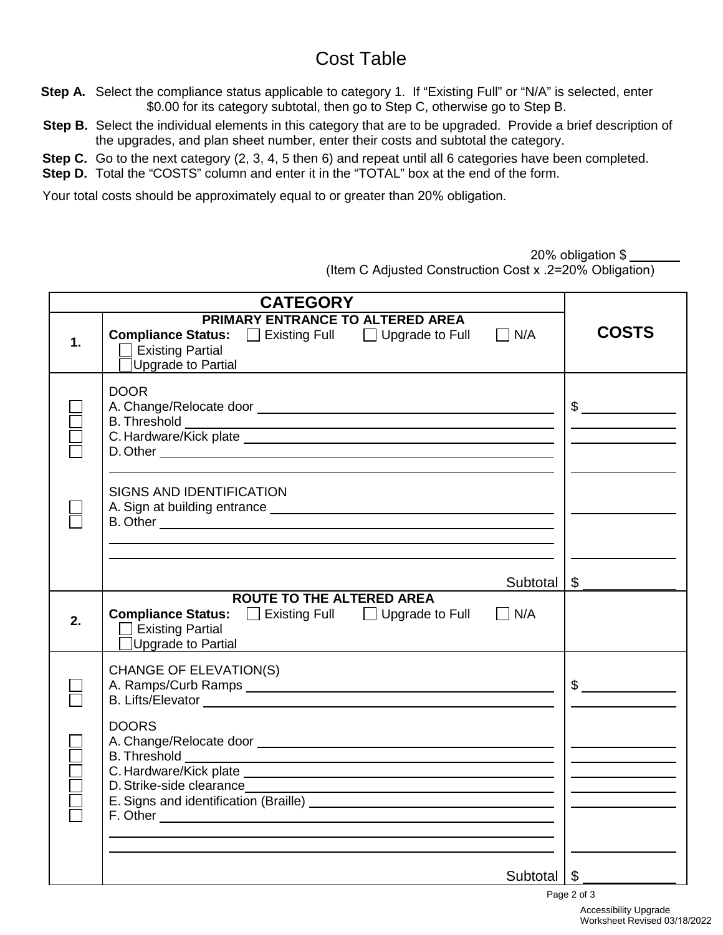# Cost Table

- **Step A.** Select the compliance status applicable to category 1. If "Existing Full" or "N/A" is selected, enter \$0.00 for its category subtotal, then go to Step C, otherwise go to Step B.
- **Step B.** Select the individual elements in this category that are to be upgraded. Provide a brief description of the upgrades, and plan sheet number, enter their costs and subtotal the category.
- **Step C.** Go to the next category (2, 3, 4, 5 then 6) and repeat until all 6 categories have been completed.
- **Step D.** Total the "COSTS" column and enter it in the "TOTAL" box at the end of the form.

Your total costs should be approximately equal to or greater than 20% obligation.

| 20% obligation \$ _ |  |
|---------------------|--|
|                     |  |

(Item C Adjusted Construction Cost x .2=20% Obligation)

|    | <b>CATEGORY</b>                                                                                                                                                |               |
|----|----------------------------------------------------------------------------------------------------------------------------------------------------------------|---------------|
| 1. | PRIMARY ENTRANCE TO ALTERED AREA<br><b>Compliance Status:</b> □ Existing Full □ Upgrade to Full<br>$\Box$ N/A<br><b>Existing Partial</b><br>Upgrade to Partial | <b>COSTS</b>  |
|    | <b>DOOR</b>                                                                                                                                                    | $\frac{1}{2}$ |
|    | <b>SIGNS AND IDENTIFICATION</b>                                                                                                                                |               |
|    | Subtotal                                                                                                                                                       | \$            |
| 2. | <b>ROUTE TO THE ALTERED AREA</b><br><b>Compliance Status:</b> □ Existing Full □ Upgrade to Full<br>$\Box$ N/A<br>$\Box$ Existing Partial<br>Upgrade to Partial |               |
|    | <b>CHANGE OF ELEVATION(S)</b><br>B. Lifts/Elevator entrance and the contract of the contract of the contract of the contract of the contract of                | $\frac{1}{2}$ |
|    | <b>DOORS</b>                                                                                                                                                   |               |
|    | Subtotal                                                                                                                                                       | \$            |
|    |                                                                                                                                                                | Page 2 of 3   |